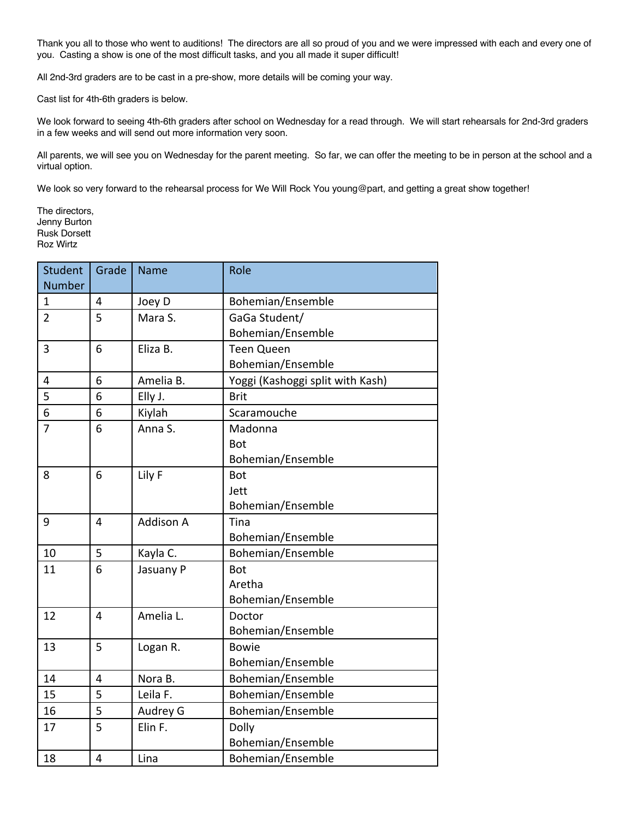Thank you all to those who went to auditions! The directors are all so proud of you and we were impressed with each and every one of you. Casting a show is one of the most difficult tasks, and you all made it super difficult!

All 2nd-3rd graders are to be cast in a pre-show, more details will be coming your way.

Cast list for 4th-6th graders is below.

We look forward to seeing 4th-6th graders after school on Wednesday for a read through. We will start rehearsals for 2nd-3rd graders in a few weeks and will send out more information very soon.

All parents, we will see you on Wednesday for the parent meeting. So far, we can offer the meeting to be in person at the school and a virtual option.

We look so very forward to the rehearsal process for We Will Rock You young@part, and getting a great show together!

The directors, Jenny Burton Rusk Dorsett Roz Wirtz

| <b>Student</b> | Grade | <b>Name</b>      | Role                             |
|----------------|-------|------------------|----------------------------------|
| <b>Number</b>  |       |                  |                                  |
| $\mathbf{1}$   | 4     | Joey D           | Bohemian/Ensemble                |
| $\overline{2}$ | 5     | Mara S.          | GaGa Student/                    |
|                |       |                  | Bohemian/Ensemble                |
| 3              | 6     | Eliza B.         | <b>Teen Queen</b>                |
|                |       |                  | Bohemian/Ensemble                |
| 4              | 6     | Amelia B.        | Yoggi (Kashoggi split with Kash) |
| 5              | 6     | Elly J.          | <b>Brit</b>                      |
| 6              | 6     | Kiylah           | Scaramouche                      |
| $\overline{7}$ | 6     | Anna S.          | Madonna                          |
|                |       |                  | Bot                              |
|                |       |                  | Bohemian/Ensemble                |
| 8              | 6     | Lily F           | <b>Bot</b>                       |
|                |       |                  | Jett                             |
|                |       |                  | Bohemian/Ensemble                |
| 9              | 4     | <b>Addison A</b> | Tina                             |
|                |       |                  | Bohemian/Ensemble                |
| 10             | 5     | Kayla C.         | Bohemian/Ensemble                |
| 11             | 6     | Jasuany P        | <b>Bot</b>                       |
|                |       |                  | Aretha                           |
|                |       |                  | Bohemian/Ensemble                |
| 12             | 4     | Amelia L.        | Doctor                           |
|                |       |                  | Bohemian/Ensemble                |
| 13             | 5     | Logan R.         | <b>Bowie</b>                     |
|                |       |                  | Bohemian/Ensemble                |
| 14             | 4     | Nora B.          | Bohemian/Ensemble                |
| 15             | 5     | Leila F.         | Bohemian/Ensemble                |
| 16             | 5     | Audrey G         | Bohemian/Ensemble                |
| 17             | 5     | Elin F.          | Dolly                            |
|                |       |                  | Bohemian/Ensemble                |
| 18             | 4     | Lina             | Bohemian/Ensemble                |